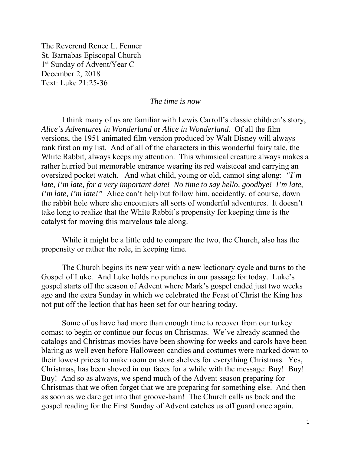The Reverend Renee L. Fenner St. Barnabas Episcopal Church 1<sup>st</sup> Sunday of Advent/Year C December 2, 2018 Text: Luke 21:25-36

## *The time is now*

 I think many of us are familiar with Lewis Carroll's classic children's story, *Alice's Adventures in Wonderland* or *Alice in Wonderland.* Of all the film versions, the 1951 animated film version produced by Walt Disney will always rank first on my list. And of all of the characters in this wonderful fairy tale, the White Rabbit, always keeps my attention. This whimsical creature always makes a rather hurried but memorable entrance wearing its red waistcoat and carrying an oversized pocket watch. And what child, young or old, cannot sing along: *"I'm late, I'm late, for a very important date! No time to say hello, goodbye! I'm late, I'm late, I'm late!*" Alice can't help but follow him, accidently, of course, down the rabbit hole where she encounters all sorts of wonderful adventures. It doesn't take long to realize that the White Rabbit's propensity for keeping time is the catalyst for moving this marvelous tale along.

 While it might be a little odd to compare the two, the Church, also has the propensity or rather the role, in keeping time.

The Church begins its new year with a new lectionary cycle and turns to the Gospel of Luke. And Luke holds no punches in our passage for today. Luke's gospel starts off the season of Advent where Mark's gospel ended just two weeks ago and the extra Sunday in which we celebrated the Feast of Christ the King has not put off the lection that has been set for our hearing today.

 Some of us have had more than enough time to recover from our turkey comas; to begin or continue our focus on Christmas. We've already scanned the catalogs and Christmas movies have been showing for weeks and carols have been blaring as well even before Halloween candies and costumes were marked down to their lowest prices to make room on store shelves for everything Christmas. Yes, Christmas, has been shoved in our faces for a while with the message: Buy! Buy! Buy! And so as always, we spend much of the Advent season preparing for Christmas that we often forget that we are preparing for something else. And then as soon as we dare get into that groove-bam! The Church calls us back and the gospel reading for the First Sunday of Advent catches us off guard once again.